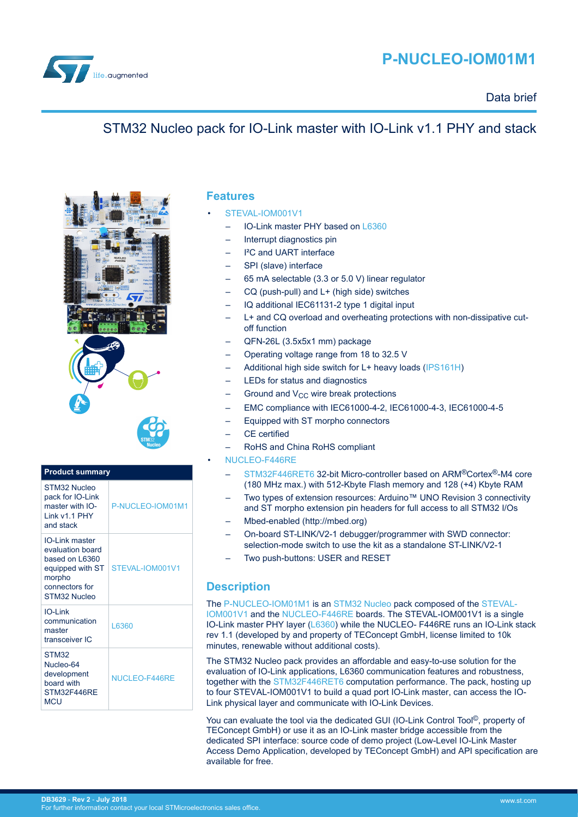

# **P-NUCLEO-IOM01M1**

### Data brief

## STM32 Nucleo pack for IO-Link master with IO-Link v1.1 PHY and stack



#### **Product summary** STM32 Nucleo pack for IO-Link master with IO-Link v1.1 PHY and stack [P-NUCLEO-IOM01M1](http://www.st.com/en/product/p-nucleo-iom01m1) IO-Link master evaluation board based on L6360 equipped with ST | [STEVAL-IOM001V1](http://www.st.com/en/product/steval-iom001v1) morpho connectors for STM32 Nucleo IO-Link communication master transceiver IC [L6360](http://www.st.com/en/product/l6360) STM32 Nucleo-64 development board with STM32F446RE MCU NUCLEO-F446RF

### **Features**

- [STEVAL-IOM001V1](http://www.st.com/en/product/steval-iom001v1)
	- IO-Link master PHY based on [L6360](http://www.st.com/en/product/l6360)
	- Interrupt diagnostics pin
	- <sup>12</sup>C and UART interface
	- SPI (slave) interface
	- 65 mA selectable (3.3 or 5.0 V) linear regulator
	- CQ (push-pull) and L+ (high side) switches
	- IQ additional IEC61131-2 type 1 digital input
	- L+ and CQ overload and overheating protections with non-dissipative cutoff function
	- QFN-26L (3.5x5x1 mm) package
	- Operating voltage range from 18 to 32.5 V
	- Additional high side switch for L+ heavy loads ([IPS161H\)](http://www.st.com/en/product/ips161h)
	- LEDs for status and diagnostics
	- Ground and  $V_{CC}$  wire break protections
	- EMC compliance with IEC61000-4-2, IEC61000-4-3, IEC61000-4-5
	- Equipped with ST morpho connectors
	- CF certified
	- RoHS and China RoHS compliant

#### • [NUCLEO-F446RE](http://www.st.com/en/product/nucleo-f446re)

- [STM32F446RET6](http://www.st.com/en/product/stm32f446re) 32-bit Micro-controller based on ARM®Cortex®-M4 core (180 MHz max.) with 512-Kbyte Flash memory and 128 (+4) Kbyte RAM
- Two types of extension resources: Arduino™ UNO Revision 3 connectivity and ST morpho extension pin headers for full access to all STM32 I/Os
- Mbed-enabled (http://mbed.org)
- On-board ST-LINK/V2-1 debugger/programmer with SWD connector: selection-mode switch to use the kit as a standalone ST-LINK/V2-1
- Two push-buttons: USER and RESET

## **Description**

The [P-NUCLEO-IOM01M1](http://www.st.com/en/product/p-nucleo-iom01m1) is an [STM32 Nucleo](http://www.st.com/stm32nucleo) pack composed of the [STEVAL-](http://www.st.com/en/product/steval-iom001v1)[IOM001V1](http://www.st.com/en/product/steval-iom001v1) and the [NUCLEO-F446RE](http://www.st.com/en/product/nucleo-f446re) boards. The STEVAL-IOM001V1 is a single IO-Link master PHY layer [\(L6360](http://www.st.com/en/product/l6360)) while the NUCLEO- F446RE runs an IO-Link stack rev 1.1 (developed by and property of TEConcept GmbH, license limited to 10k minutes, renewable without additional costs).

The STM32 Nucleo pack provides an affordable and easy-to-use solution for the evaluation of IO-Link applications, L6360 communication features and robustness, together with the [STM32F446RET6](http://www.st.com/en/product/stm32f446re) computation performance. The pack, hosting up to four STEVAL-IOM001V1 to build a quad port IO-Link master, can access the IO-Link physical layer and communicate with IO-Link Devices.

You can evaluate the tool via the dedicated GUI (IO-Link Control Tool©, property of TEConcept GmbH) or use it as an IO-Link master bridge accessible from the dedicated SPI interface: source code of demo project (Low-Level IO-Link Master Access Demo Application, developed by TEConcept GmbH) and API specification are available for free.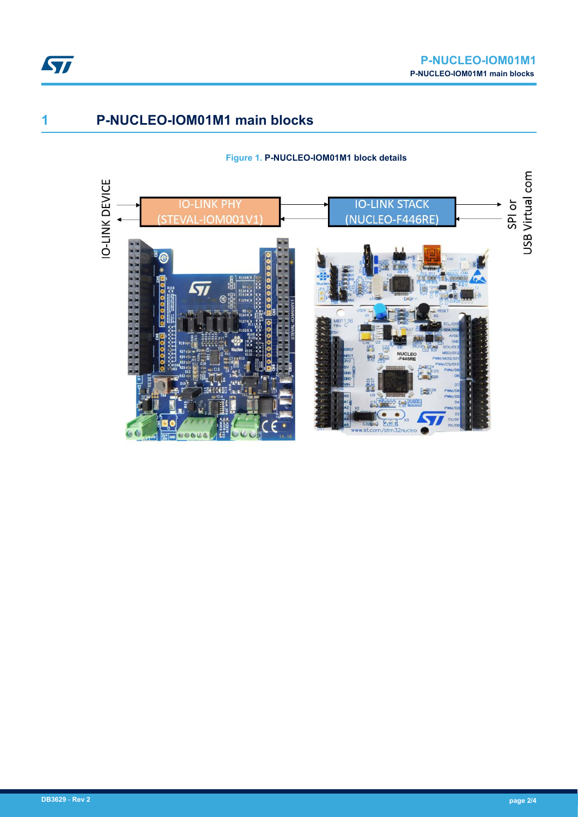

## **1 P-NUCLEO-IOM01M1 main blocks**

#### **Figure 1. P-NUCLEO-IOM01M1 block details**

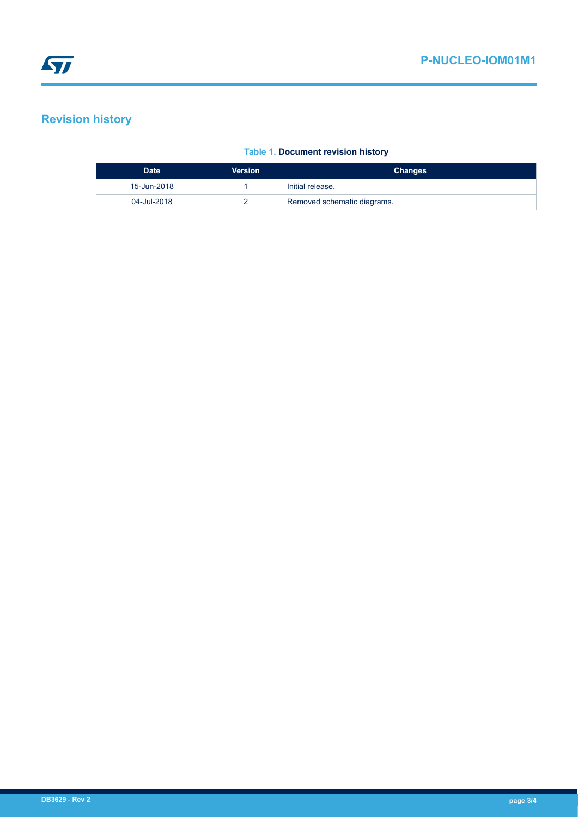# **Revision history**

### **Table 1. Document revision history**

| <b>Date</b> | <b>Version</b> | <b>Changes</b>              |
|-------------|----------------|-----------------------------|
| 15-Jun-2018 |                | Initial release.            |
| 04-Jul-2018 |                | Removed schematic diagrams. |